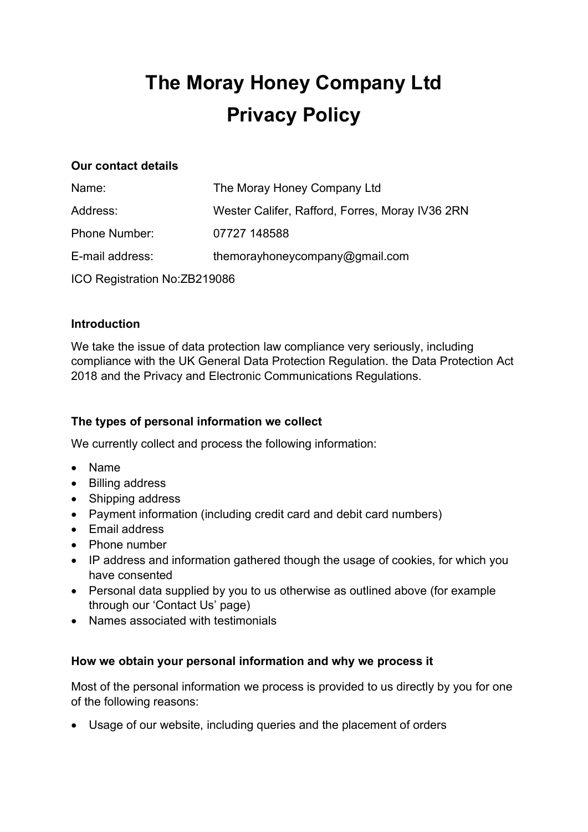# The Moray Honey Company Ltd Privacy Policy

### Our contact details

| Name:                         | The Moray Honey Company Ltd                     |
|-------------------------------|-------------------------------------------------|
| Address:                      | Wester Califer, Rafford, Forres, Moray IV36 2RN |
| <b>Phone Number:</b>          | 07727 148588                                    |
| E-mail address:               | themorayhoneycompany@gmail.com                  |
| ICO Registration No: ZB219086 |                                                 |

#### Introduction

We take the issue of data protection law compliance very seriously, including compliance with the UK General Data Protection Regulation. the Data Protection Act 2018 and the Privacy and Electronic Communications Regulations.

# The types of personal information we collect

We currently collect and process the following information:

- Name
- Billing address
- Shipping address
- Payment information (including credit card and debit card numbers)
- Fmail address
- Phone number
- IP address and information gathered though the usage of cookies, for which you have consented
- Personal data supplied by you to us otherwise as outlined above (for example through our 'Contact Us' page)
- Names associated with testimonials

## How we obtain your personal information and why we process it

Most of the personal information we process is provided to us directly by you for one of the following reasons:

Usage of our website, including queries and the placement of orders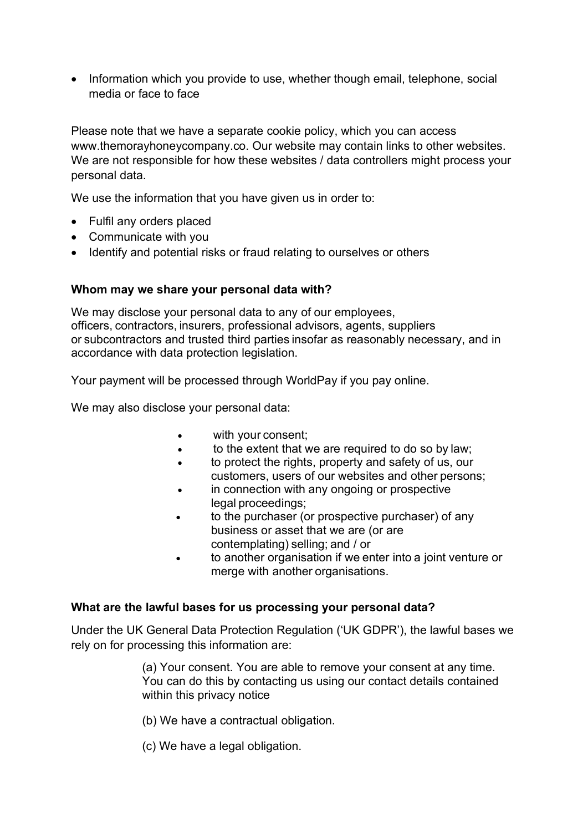• Information which you provide to use, whether though email, telephone, social media or face to face

Please note that we have a separate cookie policy, which you can access www.themorayhoneycompany.co. Our website may contain links to other websites. We are not responsible for how these websites / data controllers might process your personal data.

We use the information that you have given us in order to:

- Fulfil any orders placed
- Communicate with you
- Identify and potential risks or fraud relating to ourselves or others

#### Whom may we share your personal data with?

We may disclose your personal data to any of our employees, officers, contractors, insurers, professional advisors, agents, suppliers or subcontractors and trusted third parties insofar as reasonably necessary, and in accordance with data protection legislation.  

Your payment will be processed through WorldPay if you pay online.

We may also disclose your personal data:  

- with your consent;
- to the extent that we are required to do so by law;
- to protect the rights, property and safety of us, our customers, users of our websites and other persons;
- in connection with any ongoing or prospective legal proceedings;
- to the purchaser (or prospective purchaser) of any business or asset that we are (or are contemplating) selling; and / or
- to another organisation if we enter into a joint venture or merge with another organisations.

#### What are the lawful bases for us processing your personal data?

Under the UK General Data Protection Regulation ('UK GDPR'), the lawful bases we rely on for processing this information are:

> (a) Your consent. You are able to remove your consent at any time. You can do this by contacting us using our contact details contained within this privacy notice

- (b) We have a contractual obligation.
- (c) We have a legal obligation.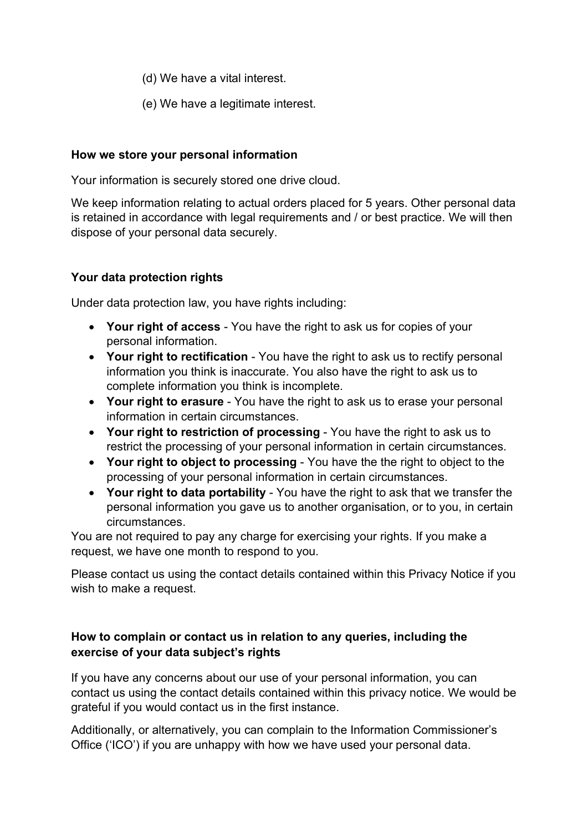- (d) We have a vital interest.
- (e) We have a legitimate interest.

#### How we store your personal information

Your information is securely stored one drive cloud.

We keep information relating to actual orders placed for 5 years. Other personal data is retained in accordance with legal requirements and / or best practice. We will then dispose of your personal data securely.

## Your data protection rights

Under data protection law, you have rights including:

- Your right of access You have the right to ask us for copies of your personal information.
- Your right to rectification You have the right to ask us to rectify personal information you think is inaccurate. You also have the right to ask us to complete information you think is incomplete.
- Your right to erasure You have the right to ask us to erase your personal information in certain circumstances.
- Your right to restriction of processing You have the right to ask us to restrict the processing of your personal information in certain circumstances.
- Your right to object to processing You have the the right to object to the processing of your personal information in certain circumstances.
- Your right to data portability You have the right to ask that we transfer the personal information you gave us to another organisation, or to you, in certain circumstances.

You are not required to pay any charge for exercising your rights. If you make a request, we have one month to respond to you.

Please contact us using the contact details contained within this Privacy Notice if you wish to make a request.

# How to complain or contact us in relation to any queries, including the exercise of your data subject's rights

If you have any concerns about our use of your personal information, you can contact us using the contact details contained within this privacy notice. We would be grateful if you would contact us in the first instance.

Additionally, or alternatively, you can complain to the Information Commissioner's Office ('ICO') if you are unhappy with how we have used your personal data.